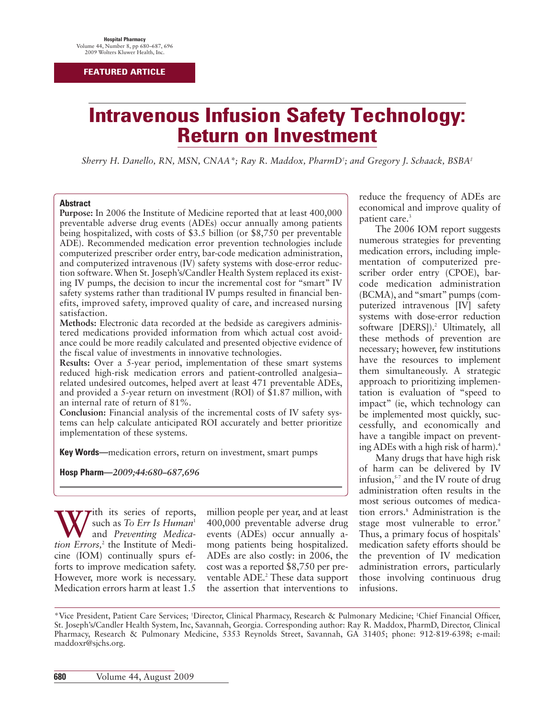# **Intravenous Infusion Safety Technology: Return on Investment**

*Sherry H. Danello, RN, MSN, CNAA\*; Ray R. Maddox, PharmD† ; and Gregory J. Schaack, BSBA‡*

#### **Abstract**

**Purpose:** In 2006 the Institute of Medicine reported that at least 400,000 preventable adverse drug events (ADEs) occur annually among patients being hospitalized, with costs of \$3.5 billion (or \$8,750 per preventable ADE). Recommended medication error prevention technologies include computerized prescriber order entry, bar-code medication administration, and computerized intravenous (IV) safety systems with dose-error reduction software. When St. Joseph's/Candler Health System replaced its existing IV pumps, the decision to incur the incremental cost for "smart" IV safety systems rather than traditional IV pumps resulted in financial benefits, improved safety, improved quality of care, and increased nursing satisfaction.

**Methods:** Electronic data recorded at the bedside as caregivers administered medications provided information from which actual cost avoidance could be more readily calculated and presented objective evidence of the fiscal value of investments in innovative technologies.

**Results:** Over a 5-year period, implementation of these smart systems reduced high-risk medication errors and patient-controlled analgesia– related undesired outcomes, helped avert at least 471 preventable ADEs, and provided a 5-year return on investment (ROI) of \$1.87 million, with an internal rate of return of 81%.

**Conclusion:** Financial analysis of the incremental costs of IV safety systems can help calculate anticipated ROI accurately and better prioritize implementation of these systems.

**Key Words—**medication errors, return on investment, smart pumps

**Hosp Pharm—***2009;44:680–687,696*

With its series of reports,<br>and *Preventing Medication Errors*<sup>2</sup> the Institute of Medisuch as *To Err Is Human*<sup>1</sup> and *Preventing Medication Errors,*<sup>2</sup> the Institute of Medicine (IOM) continually spurs efforts to improve medication safety. However, more work is necessary. Medication errors harm at least 1.5

million people per year, and at least 400,000 preventable adverse drug events (ADEs) occur annually among patients being hospitalized. ADEs are also costly: in 2006, the cost was a reported \$8,750 per preventable ADE.<sup>2</sup> These data support the assertion that interventions to reduce the frequency of ADEs are economical and improve quality of patient care.<sup>3</sup>

The 2006 IOM report suggests numerous strategies for preventing medication errors, including implementation of computerized prescriber order entry (CPOE), barcode medication administration (BCMA), and "smart" pumps (computerized intravenous [IV] safety systems with dose-error reduction software [DERS]).<sup>2</sup> Ultimately, all these methods of prevention are necessary; however, few institutions have the resources to implement them simultaneously. A strategic approach to prioritizing implementation is evaluation of "speed to impact" (ie, which technology can be implemented most quickly, successfully, and economically and have a tangible impact on preventing ADEs with a high risk of harm). $^4$ 

Many drugs that have high risk of harm can be delivered by IV infusion,<sup>5-7</sup> and the IV route of drug administration often results in the most serious outcomes of medication errors.<sup>8</sup> Administration is the stage most vulnerable to error.<sup>9</sup> Thus, a primary focus of hospitals' medication safety efforts should be the prevention of IV medication administration errors, particularly those involving continuous drug infusions.

<sup>\*</sup>Vice President, Patient Care Services; † Director, Clinical Pharmacy, Research & Pulmonary Medicine; ‡ Chief Financial Officer, St. Joseph's/Candler Health System, Inc, Savannah, Georgia. Corresponding author: Ray R. Maddox, PharmD, Director, Clinical Pharmacy, Research & Pulmonary Medicine, 5353 Reynolds Street, Savannah, GA 31405; phone: 912-819-6398; e-mail: maddoxr@sjchs.org.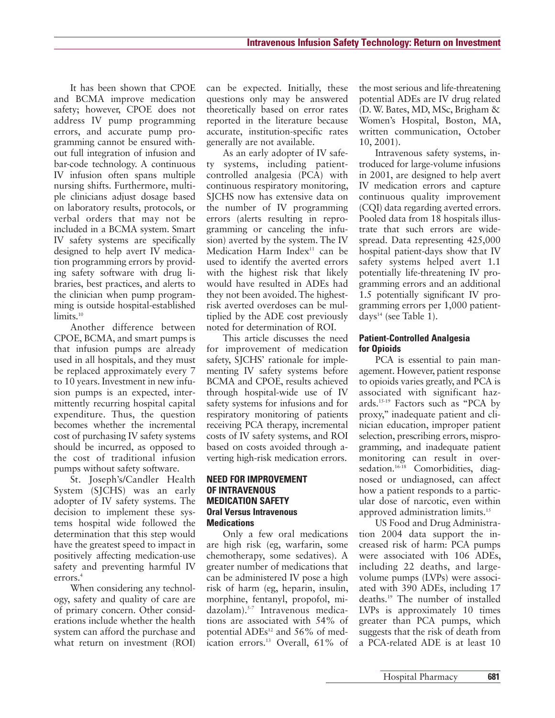It has been shown that CPOE and BCMA improve medication safety; however, CPOE does not address IV pump programming errors, and accurate pump programming cannot be ensured without full integration of infusion and bar-code technology. A continuous IV infusion often spans multiple nursing shifts. Furthermore, multiple clinicians adjust dosage based on laboratory results, protocols, or verbal orders that may not be included in a BCMA system. Smart IV safety systems are specifically designed to help avert IV medication programming errors by providing safety software with drug libraries, best practices, and alerts to the clinician when pump programming is outside hospital-established limits.<sup>10</sup>

Another difference between CPOE, BCMA, and smart pumps is that infusion pumps are already used in all hospitals, and they must be replaced approximately every 7 to 10 years. Investment in new infusion pumps is an expected, intermittently recurring hospital capital expenditure. Thus, the question becomes whether the incremental cost of purchasing IV safety systems should be incurred, as opposed to the cost of traditional infusion pumps without safety software.

St. Joseph's/Candler Health System (SJCHS) was an early adopter of IV safety systems. The decision to implement these systems hospital wide followed the determination that this step would have the greatest speed to impact in positively affecting medication-use safety and preventing harmful IV errors.4

When considering any technology, safety and quality of care are of primary concern. Other considerations include whether the health system can afford the purchase and what return on investment (ROI)

can be expected. Initially, these questions only may be answered theoretically based on error rates reported in the literature because accurate, institution-specific rates generally are not available.

As an early adopter of IV safety systems, including patientcontrolled analgesia (PCA) with continuous respiratory monitoring, SJCHS now has extensive data on the number of IV programming errors (alerts resulting in reprogramming or canceling the infusion) averted by the system. The IV Medication Harm Index $11$  can be used to identify the averted errors with the highest risk that likely would have resulted in ADEs had they not been avoided. The highestrisk averted overdoses can be multiplied by the ADE cost previously noted for determination of ROI.

This article discusses the need for improvement of medication safety, SJCHS' rationale for implementing IV safety systems before BCMA and CPOE, results achieved through hospital-wide use of IV safety systems for infusions and for respiratory monitoring of patients receiving PCA therapy, incremental costs of IV safety systems, and ROI based on costs avoided through averting high-risk medication errors.

## **NEED FOR IMPROVEMENT OF INTRAVENOUS MEDICATION SAFETY Oral Versus Intravenous Medications**

Only a few oral medications are high risk (eg, warfarin, some chemotherapy, some sedatives). A greater number of medications that can be administered IV pose a high risk of harm (eg, heparin, insulin, morphine, fentanyl, propofol, midazolam).5-7 Intravenous medications are associated with 54% of potential ADEs<sup>12</sup> and 56% of medication errors.<sup>13</sup> Overall, 61% of the most serious and life-threatening potential ADEs are IV drug related (D. W. Bates, MD, MSc, Brigham & Women's Hospital, Boston, MA, written communication, October 10, 2001).

Intravenous safety systems, introduced for large-volume infusions in 2001, are designed to help avert IV medication errors and capture continuous quality improvement (CQI) data regarding averted errors. Pooled data from 18 hospitals illustrate that such errors are widespread. Data representing 425,000 hospital patient-days show that IV safety systems helped avert 1.1 potentially life-threatening IV programming errors and an additional 1.5 potentially significant IV programming errors per 1,000 patientdays<sup>14</sup> (see Table 1).

# **Patient-Controlled Analgesia for Opioids**

PCA is essential to pain management. However, patient response to opioids varies greatly, and PCA is associated with significant hazards.15-19 Factors such as "PCA by proxy," inadequate patient and clinician education, improper patient selection, prescribing errors, misprogramming, and inadequate patient monitoring can result in oversedation.<sup>16-18</sup> Comorbidities, diagnosed or undiagnosed, can affect how a patient responds to a particular dose of narcotic, even within approved administration limits.15

US Food and Drug Administration 2004 data support the increased risk of harm: PCA pumps were associated with 106 ADEs, including 22 deaths, and largevolume pumps (LVPs) were associated with 390 ADEs, including 17 deaths.19 The number of installed LVPs is approximately 10 times greater than PCA pumps, which suggests that the risk of death from a PCA-related ADE is at least 10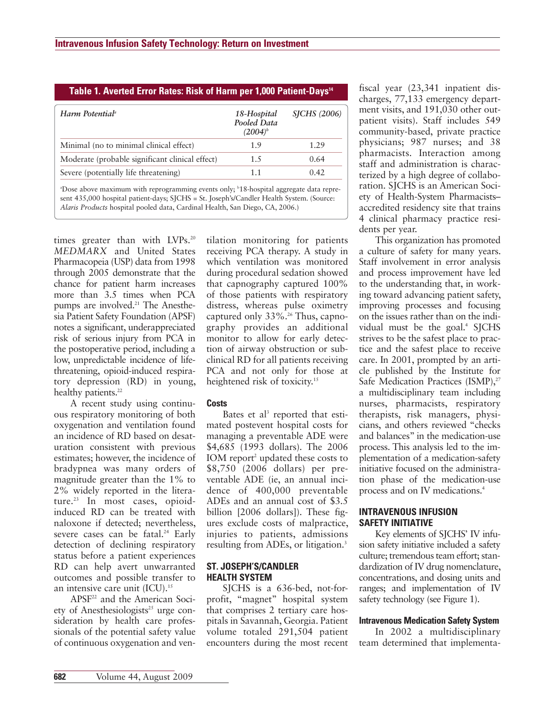|                                                 | 18-Hospital<br>Pooled Data<br>$(2004)^b$ | <b>SICHS</b> (2006) |
|-------------------------------------------------|------------------------------------------|---------------------|
| Minimal (no to minimal clinical effect)         | 1.9                                      | 1.29                |
| Moderate (probable significant clinical effect) | 1.5                                      | 0.64                |
| Severe (potentially life threatening)           | 1.1                                      | 0.42                |

**Table 1. Averted Error Rates: Risk of Harm per 1,000 Patient-Days14**

sent 435,000 hospital patient-days; SJCHS = St. Joseph's/Candler Health System. (Source: *Alaris Products* hospital pooled data, Cardinal Health, San Diego, CA, 2006.)

times greater than with LVPs.<sup>20</sup> *MEDMARX* and United States Pharmacopeia (USP) data from 1998 through 2005 demonstrate that the chance for patient harm increases more than 3.5 times when PCA pumps are involved.<sup>21</sup> The Anesthesia Patient Safety Foundation (APSF) notes a significant, underappreciated risk of serious injury from PCA in the postoperative period, including a low, unpredictable incidence of lifethreatening, opioid-induced respiratory depression (RD) in young, healthy patients.<sup>22</sup>

A recent study using continuous respiratory monitoring of both oxygenation and ventilation found an incidence of RD based on desaturation consistent with previous estimates; however, the incidence of bradypnea was many orders of magnitude greater than the 1% to 2% widely reported in the literature.<sup>23</sup> In most cases, opioidinduced RD can be treated with naloxone if detected; nevertheless, severe cases can be fatal.<sup>24</sup> Early detection of declining respiratory status before a patient experiences RD can help avert unwarranted outcomes and possible transfer to an intensive care unit (ICU).<sup>15</sup>

APSF22 and the American Society of Anesthesiologists<sup>25</sup> urge consideration by health care professionals of the potential safety value of continuous oxygenation and ven-

tilation monitoring for patients receiving PCA therapy. A study in which ventilation was monitored during procedural sedation showed that capnography captured 100% of those patients with respiratory distress, whereas pulse oximetry captured only  $33\%$ .<sup>26</sup> Thus, capnography provides an additional monitor to allow for early detection of airway obstruction or subclinical RD for all patients receiving PCA and not only for those at heightened risk of toxicity.<sup>15</sup>

# **Costs**

Bates et al<sup>3</sup> reported that estimated postevent hospital costs for managing a preventable ADE were \$4,685 (1993 dollars). The 2006 IOM report<sup>2</sup> updated these costs to \$8,750 (2006 dollars) per preventable ADE (ie, an annual incidence of 400,000 preventable ADEs and an annual cost of \$3.5 billion [2006 dollars]). These figures exclude costs of malpractice, injuries to patients, admissions resulting from ADEs, or litigation.<sup>3</sup>

# **ST. JOSEPH'S/CANDLER HEALTH SYSTEM**

SJCHS is a 636-bed, not-forprofit, "magnet" hospital system that comprises 2 tertiary care hospitals in Savannah, Georgia. Patient volume totaled 291,504 patient encounters during the most recent

fiscal year (23,341 inpatient discharges, 77,133 emergency department visits, and 191,030 other outpatient visits). Staff includes 549 community-based, private practice physicians; 987 nurses; and 38 pharmacists. Interaction among staff and administration is characterized by a high degree of collaboration. SJCHS is an American Society of Health-System Pharmacists– accredited residency site that trains 4 clinical pharmacy practice residents per year.

This organization has promoted a culture of safety for many years. Staff involvement in error analysis and process improvement have led to the understanding that, in working toward advancing patient safety, improving processes and focusing on the issues rather than on the individual must be the goal.<sup>4</sup> SJCHS strives to be the safest place to practice and the safest place to receive care. In 2001, prompted by an article published by the Institute for Safe Medication Practices (ISMP),<sup>27</sup> a multidisciplinary team including nurses, pharmacists, respiratory therapists, risk managers, physicians, and others reviewed "checks and balances" in the medication-use process. This analysis led to the implementation of a medication-safety initiative focused on the administration phase of the medication-use process and on IV medications.<sup>4</sup>

# **INTRAVENOUS INFUSION SAFETY INITIATIVE**

Key elements of SJCHS' IV infusion safety initiative included a safety culture; tremendous team effort; stan dardization of IV drug nomenclature, concentrations, and dosing units and ranges; and implementation of IV safety technology (see Figure 1).

# **Intravenous Medication Safety System**

In 2002 a multidisciplinary team determined that implementa-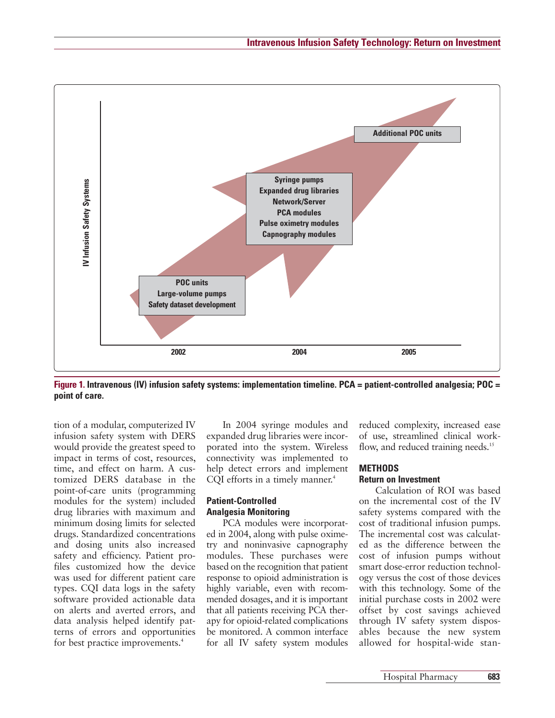

**Figure 1. Intravenous (IV) infusion safety systems: implementation timeline. PCA = patient-controlled analgesia; POC = point of care.**

tion of a modular, computerized IV infusion safety system with DERS would provide the greatest speed to impact in terms of cost, resources, time, and effect on harm. A customized DERS database in the point-of-care units (programming modules for the system) included drug libraries with maximum and minimum dosing limits for selected drugs. Standardized concentrations and dosing units also increased safety and efficiency. Patient profiles customized how the device was used for different patient care types. CQI data logs in the safety software provided actionable data on alerts and averted errors, and data analysis helped identify patterns of errors and opportunities for best practice improvements.<sup>4</sup>

In 2004 syringe modules and expanded drug libraries were incorporated into the system. Wireless connectivity was implemented to help detect errors and implement CQI efforts in a timely manner.<sup>4</sup>

# **Patient-Controlled Analgesia Monitoring**

PCA modules were incorporated in 2004, along with pulse oximetry and noninvasive capnography modules. These purchases were based on the recognition that patient response to opioid administration is highly variable, even with recommended dosages, and it is important that all patients receiving PCA therapy for opioid-related complications be monitored. A common interface for all IV safety system modules reduced complexity, increased ease of use, streamlined clinical workflow, and reduced training needs.<sup>15</sup>

#### **METHODS**

#### **Return on Investment**

Calculation of ROI was based on the incremental cost of the IV safety systems compared with the cost of traditional infusion pumps. The incremental cost was calculated as the difference between the cost of infusion pumps without smart dose-error reduction technology versus the cost of those devices with this technology. Some of the initial purchase costs in 2002 were offset by cost savings achieved through IV safety system disposables because the new system allowed for hospital-wide stan-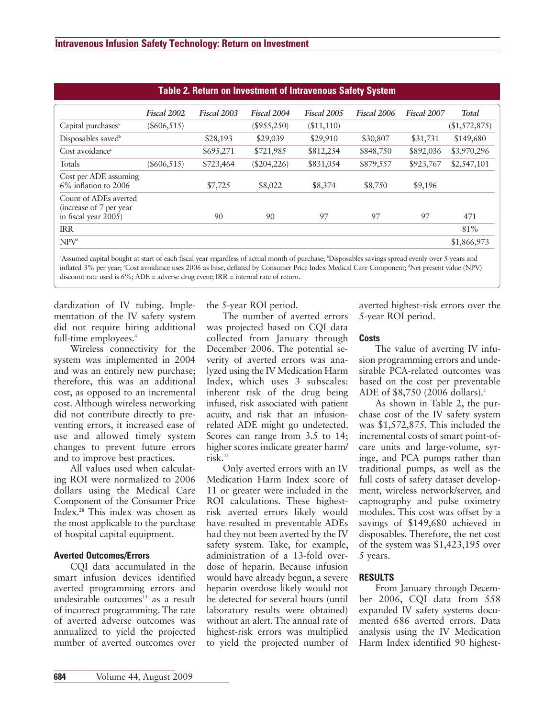| <b>Table 2. Return on Investment of Intravenous Safety System</b>         |               |             |             |             |             |             |               |  |  |
|---------------------------------------------------------------------------|---------------|-------------|-------------|-------------|-------------|-------------|---------------|--|--|
|                                                                           | Fiscal 2002   | Fiscal 2003 | Fiscal 2004 | Fiscal 2005 | Fiscal 2006 | Fiscal 2007 | <b>Total</b>  |  |  |
| Capital purchases <sup>a</sup>                                            | $(\$606,515)$ |             | (\$955,250) | ( \$11,110) |             |             | (\$1,572,875) |  |  |
| Disposables saved <sup>b</sup>                                            |               | \$28,193    | \$29,039    | \$29,910    | \$30,807    | \$31,731    | \$149,680     |  |  |
| Cost avoidance <sup>c</sup>                                               |               | \$695,271   | \$721,985   | \$812,254   | \$848,750   | \$892,036   | \$3,970,296   |  |  |
| Totals                                                                    | $(\$606,515)$ | \$723,464   | (\$204,226) | \$831,054   | \$879,557   | \$923,767   | \$2,547,101   |  |  |
| Cost per ADE assuming<br>$6\%$ inflation to 2006                          |               | \$7,725     | \$8,022     | \$8,374     | \$8,750     | \$9,196     |               |  |  |
| Count of ADEs averted<br>(increase of 7 per year)<br>in fiscal year 2005) |               | 90          | 90          | 97          | 97          | 97          | 471           |  |  |
| <b>IRR</b>                                                                |               |             |             |             |             |             | 81%           |  |  |
| NPV <sup>d</sup>                                                          |               |             |             |             |             |             | \$1,866,973   |  |  |

Assumed capital bought at start of each fiscal year regardless of actual month of purchase; *Disposables savings spread evenly over 5 years and* inflated 3% per year; Cost avoidance uses 2006 as base, deflated by Consumer Price Index Medical Care Component; <sup>d</sup>Net present value (NPV) discount rate used is 6%; ADE = adverse drug event; IRR = internal rate of return.

dardization of IV tubing. Implementation of the IV safety system did not require hiring additional full-time employees.<sup>4</sup>

Wireless connectivity for the system was implemented in 2004 and was an entirely new purchase; therefore, this was an additional cost, as opposed to an incremental cost. Although wireless networking did not contribute directly to preventing errors, it increased ease of use and allowed timely system changes to prevent future errors and to improve best practices.

All values used when calculating ROI were normalized to 2006 dollars using the Medical Care Component of the Consumer Price Index.28 This index was chosen as the most applicable to the purchase of hospital capital equipment.

# **Averted Outcomes/Errors**

CQI data accumulated in the smart infusion devices identified averted programming errors and undesirable outcomes<sup>15</sup> as a result of incorrect programming. The rate of averted adverse outcomes was annualized to yield the projected number of averted outcomes over the 5-year ROI period.

The number of averted errors was projected based on CQI data collected from January through December 2006. The potential severity of averted errors was analyzed using the IV Medication Harm Index, which uses 3 subscales: inherent risk of the drug being infused, risk associated with patient acuity, and risk that an infusionrelated ADE might go undetected. Scores can range from 3.5 to 14; higher scores indicate greater harm/  $risk<sup>11</sup>$ 

Only averted errors with an IV Medication Harm Index score of 11 or greater were included in the ROI calculations. These highestrisk averted errors likely would have resulted in preventable ADEs had they not been averted by the IV safety system. Take, for example, administration of a 13-fold overdose of heparin. Because infusion would have already begun, a severe heparin overdose likely would not be detected for several hours (until laboratory results were obtained) without an alert. The annual rate of highest-risk errors was multiplied to yield the projected number of averted highest-risk errors over the 5-year ROI period.

#### **Costs**

The value of averting IV infusion programming errors and undesirable PCA-related outcomes was based on the cost per preventable ADE of \$8,750 (2006 dollars).2

As shown in Table 2, the purchase cost of the IV safety system was \$1,572,875. This included the incremental costs of smart point-ofcare units and large-volume, syringe, and PCA pumps rather than traditional pumps, as well as the full costs of safety dataset development, wireless network/server, and capnography and pulse oximetry modules. This cost was offset by a savings of \$149,680 achieved in disposables. Therefore, the net cost of the system was \$1,423,195 over 5 years.

# **RESULTS**

From January through December 2006, CQI data from 558 expanded IV safety systems documented 686 averted errors. Data analysis using the IV Medication Harm Index identified 90 highest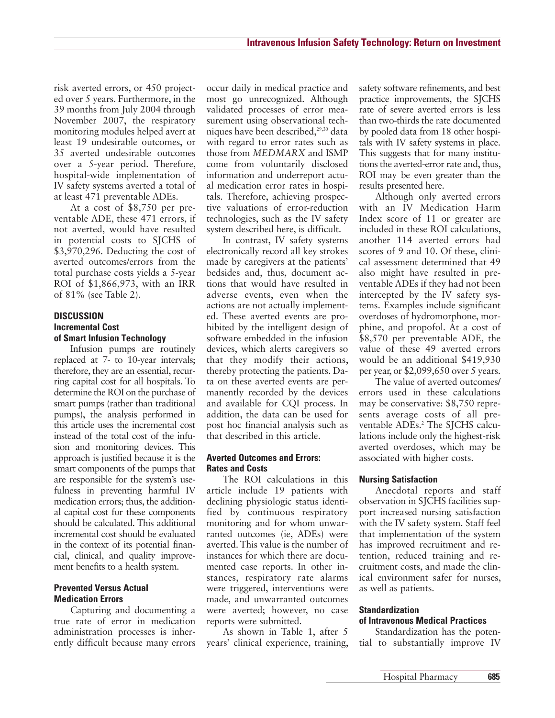risk averted errors, or 450 projected over 5 years. Furthermore, in the 39 months from July 2004 through November 2007, the respiratory monitoring modules helped avert at least 19 undesirable outcomes, or 35 averted undesirable outcomes over a 5-year period. Therefore, hospital-wide implementation of IV safety systems averted a total of at least 471 preventable ADEs.

At a cost of \$8,750 per preventable ADE, these 471 errors, if not averted, would have resulted in potential costs to SJCHS of \$3,970,296. Deducting the cost of averted outcomes/errors from the total purchase costs yields a 5-year ROI of \$1,866,973, with an IRR of 81% (see Table 2).

## **DISCUSSION Incremental Cost of Smart Infusion Technology**

Infusion pumps are routinely replaced at 7- to 10-year intervals; therefore, they are an essential, recurring capital cost for all hospitals. To determine the ROI on the purchase of smart pumps (rather than traditional pumps), the analysis performed in this article uses the incremental cost instead of the total cost of the infusion and monitoring devices. This approach is justified because it is the smart components of the pumps that are responsible for the system's usefulness in preventing harmful IV medication errors; thus, the additional capital cost for these components should be calculated. This additional incremental cost should be evaluated in the context of its potential financial, clinical, and quality improvement benefits to a health system.

#### **Prevented Versus Actual Medication Errors**

Capturing and documenting a true rate of error in medication administration processes is inherently difficult because many errors

occur daily in medical practice and most go unrecognized. Although validated processes of error measurement using observational techniques have been described,<sup>29,30</sup> data with regard to error rates such as those from *MEDMARX* and ISMP come from voluntarily disclosed information and underreport actual medication error rates in hospitals. Therefore, achieving prospective valuations of error-reduction technologies, such as the IV safety system described here, is difficult.

In contrast, IV safety systems electronically record all key strokes made by caregivers at the patients' bedsides and, thus, document actions that would have resulted in adverse events, even when the actions are not actually implemented. These averted events are prohibited by the intelligent design of software embedded in the infusion devices, which alerts caregivers so that they modify their actions, thereby protecting the patients. Data on these averted events are permanently recorded by the devices and available for CQI process. In addition, the data can be used for post hoc financial analysis such as that described in this article.

#### **Averted Outcomes and Errors: Rates and Costs**

The ROI calculations in this article include 19 patients with declining physiologic status identified by continuous respiratory monitoring and for whom unwarranted outcomes (ie, ADEs) were averted. This value is the number of instances for which there are documented case reports. In other instances, respiratory rate alarms were triggered, interventions were made, and unwarranted outcomes were averted; however, no case reports were submitted.

As shown in Table 1, after 5 years' clinical experience, training,

safety software refinements, and best practice improvements, the SJCHS rate of severe averted errors is less than two-thirds the rate documented by pooled data from 18 other hospitals with IV safety systems in place. This suggests that for many institutions the averted-error rate and, thus, ROI may be even greater than the results presented here.

Although only averted errors with an IV Medication Harm Index score of 11 or greater are included in these ROI calculations, another 114 averted errors had scores of 9 and 10. Of these, clinical assessment determined that 49 also might have resulted in preventable ADEs if they had not been intercepted by the IV safety systems. Examples include significant overdoses of hydromorphone, mor phine, and propofol. At a cost of \$8,570 per preventable ADE, the value of these 49 averted errors would be an additional \$419,930 per year, or \$2,099,650 over 5 years.

The value of averted outcomes/ errors used in these calculations may be conservative: \$8,750 represents average costs of all preventable ADEs.<sup>2</sup> The SJCHS calculations include only the highest-risk averted overdoses, which may be associated with higher costs.

# **Nursing Satisfaction**

Anecdotal reports and staff observation in SJCHS facilities support increased nursing satisfaction with the IV safety system. Staff feel that implementation of the system has improved recruitment and retention, reduced training and recruitment costs, and made the clinical environment safer for nurses, as well as patients.

## **Standardization of Intravenous Medical Practices**

Standardization has the potential to substantially improve IV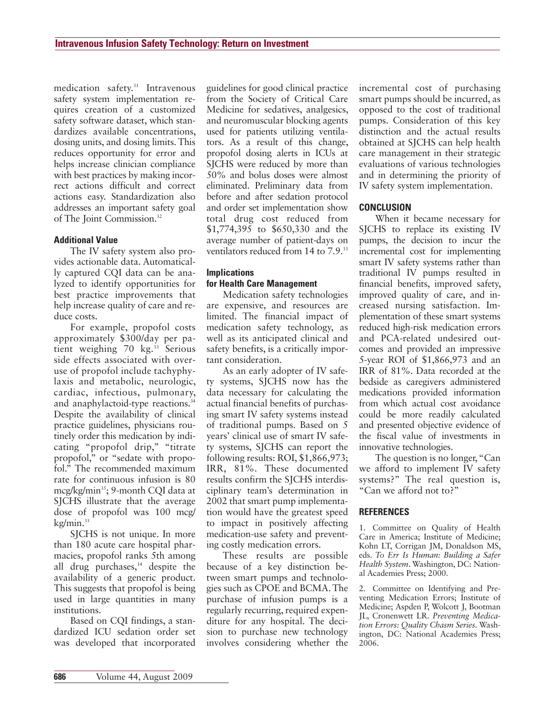medication safety.<sup>31</sup> Intravenous safety system implementation requires creation of a customized safety software dataset, which standardizes available concentrations, dosing units, and dosing limits. This reduces opportunity for error and helps increase clinician compliance with best practices by making incorrect actions difficult and correct actions easy. Standardization also addresses an important safety goal of The Joint Commission.<sup>32</sup>

## **Additional Value**

The IV safety system also provides actionable data. Automatically captured CQI data can be analyzed to identify opportunities for best practice improvements that help increase quality of care and reduce costs.

For example, propofol costs approximately \$300/day per patient weighing 70 kg.<sup>33</sup> Serious side effects associated with overuse of propofol include tachyphylaxis and metabolic, neurologic, cardiac, in fectious, pulmonary, and anaphylactoid-type reactions.<sup>34</sup> Despite the availability of clinical practice guidelines, physicians routinely order this medication by indicating "propofol drip," "titrate propofol," or "sedate with propofol." The recommended maximum rate for continuous infusion is 80 mcg/kg/min<sup>35</sup>; 9-month CQI data at SJCHS illustrate that the average dose of propofol was 100 mcg/ kg/min.<sup>33</sup>

SJCHS is not unique. In more than 180 acute care hospital pharmacies, propofol ranks 5th among all drug purchases,  $14$  despite the availability of a generic product. This suggests that propofol is being used in large quantities in many institutions.

Based on CQI findings, a standardized ICU sedation order set was developed that incorporated guidelines for good clinical practice from the Society of Critical Care Medicine for sedatives, analgesics, and neuromuscular blocking agents used for patients utilizing ventilators. As a result of this change, propofol dosing alerts in ICUs at SJCHS were reduced by more than 50% and bolus doses were almost eliminated. Preliminary data from before and after sedation protocol and order set implementation show total drug cost reduced from \$1,774,395 to \$650,330 and the average number of patient-days on ven tilators reduced from 14 to  $7.9.^{33}$ 

## **Implications for Health Care Management**

Medication safety technologies are expensive, and resources are limited. The financial impact of medication safety technology, as well as its anticipated clinical and safety benefits, is a critically important consideration.

As an early adopter of IV safety systems, SJCHS now has the data necessary for calculating the actual financial benefits of purchasing smart IV safety systems instead of traditional pumps. Based on 5 years' clinical use of smart IV safety systems, SJCHS can report the following results: ROI, \$1,866,973; IRR, 81%. These documented results confirm the SJCHS interdisciplinary team's determination in 2002 that smart pump implementation would have the greatest speed to impact in positively affecting medication-use safety and preventing costly medication errors.

These results are possible because of a key distinction between smart pumps and technologies such as CPOE and BCMA. The purchase of infusion pumps is a regularly recurring, required expenditure for any hospital. The decision to purchase new technology involves considering whether the incremental cost of purchasing smart pumps should be incurred, as opposed to the cost of traditional pumps. Consideration of this key distinction and the actual results obtained at SJCHS can help health care management in their strategic evaluations of various technologies and in determining the priority of IV safety system implementation.

## **CONCLUSION**

When it became necessary for SJCHS to replace its existing IV pumps, the decision to incur the incremental cost for implementing smart IV safety systems rather than traditional IV pumps resulted in financial benefits, improved safety, improved quality of care, and increased nursing satisfaction. Im plementation of these smart systems reduced high-risk medication errors and PCA-related undesired outcomes and provided an impressive 5-year ROI of \$1,866,973 and an IRR of 81%. Data recorded at the bedside as caregivers administered medications provided information from which actual cost avoidance could be more readily calculated and presented objective evidence of the fiscal value of investments in innovative technologies.

The question is no longer, "Can we afford to implement IV safety systems?" The real question is, "Can we afford not to?"

#### **REFERENCES**

1. Committee on Quality of Health Care in America; Institute of Medicine; Kohn LT, Corrigan JM, Donaldson MS, eds. *To Err Is Human: Building a Safer Health System*. Washington, DC: National Academies Press; 2000.

2. Committee on Identifying and Preventing Medication Errors; Institute of Medicine; Aspden P, Wolcott J, Bootman JL, Cronenwett LR. *Preventing Medication Errors: Quality Chasm Series.* Washington, DC: National Academies Press; 2006.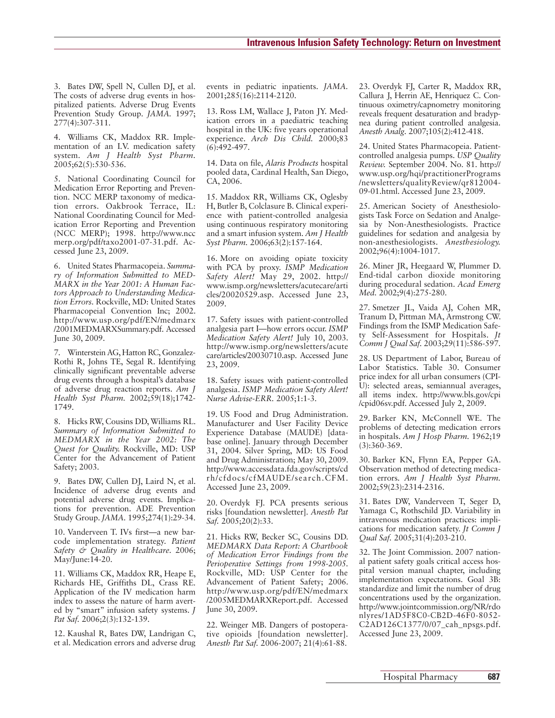3. Bates DW, Spell N, Cullen DJ, et al. The costs of adverse drug events in hospitalized patients. Adverse Drug Events Prevention Study Group. *JAMA*. 1997; 277(4):307-311.

4. Williams CK, Maddox RR. Implementation of an I.V. medication safety system. *Am J Health Syst Pharm.* 2005;62(5):530-536.

5. National Coordinating Council for Medication Error Reporting and Prevention. NCC MERP taxonomy of medication errors. Oakbrook Terrace, IL: National Coordinating Council for Medication Error Reporting and Prevention (NCC MERP); 1998. http://www.ncc merp.org/pdf/taxo2001-07-31.pdf. Ac cessed June 23, 2009.

6. United States Pharmacopeia. *Summary of Information Submitted to MED-MARX in the Year 2001: A Human Factors Approach to Understanding Medication Errors.* Rockville, MD: United States Pharmacopeial Convention Inc; 2002. http://www.usp.org/pdf/EN/medmarx /2001MEDMARXSummary.pdf. Accessed June 30, 2009.

7. Winterstein AG, Hatton RC, Gonzalez-Rothi R, Johns TE, Segal R. Identifying clinically significant preventable adverse drug events through a hospital's database of adverse drug reaction reports. *Am J Health Syst Pharm.* 2002;59(18);1742- 1749.

8. Hicks RW, Cousins DD, Williams RL. *Summary of Information Submitted to MEDMARX in the Year 2002: The Quest for Quality.* Rockville, MD: USP Center for the Advancement of Patient Safety; 2003.

9. Bates DW, Cullen DJ, Laird N, et al. Incidence of adverse drug events and potential adverse drug events. Implications for prevention. ADE Prevention Study Group.*JAMA.* 1995;274(1):29-34.

10. Vanderveen T. IVs first—a new barcode implementation strategy. *Patient Safety & Quality in Healthcare.* 2006; May/June:14-20.

11. Williams CK, Maddox RR, Heape E, Richards HE, Griffiths DL, Crass RE. Application of the IV medication harm index to assess the nature of harm averted by "smart" infusion safety systems. *J Pat Saf.* 2006;2(3):132-139.

12. Kaushal R, Bates DW, Landrigan C, et al. Medication errors and adverse drug events in pediatric inpatients. *JAMA.* 2001;285(16):2114-2120.

13. Ross LM, Wallace J, Paton JY. Medication errors in a paediatric teaching hospital in the UK: five years operational experience. *Arch Dis Child.* 2000;83 (6):492-497.

14. Data on file, *Alaris Products* hospital pooled data, Cardinal Health, San Diego, CA, 2006.

15. Maddox RR, Williams CK, Oglesby H, Butler B, Colclasure B. Clinical experience with patient-controlled analgesia using continuous respiratory monitoring and a smart infusion system. *Am J Health Syst Pharm.* 2006;63(2):157-164.

16. More on avoiding opiate toxicity with PCA by proxy. *ISMP Medication Safety Alert!* May 29, 2002. http:// www.ismp.org/newsletters/acutecare/arti cles/20020529.asp. Accessed June 23, 2009.

17. Safety issues with patient-controlled analgesia part I—how errors occur. *ISMP Medication Safety Alert!* July 10, 2003. http://www.ismp.org/newsletters/acute care/articles/20030710.asp. Accessed June 23, 2009.

18. Safety issues with patient-controlled analgesia. *ISMP Medication Safety Alert! Nurse Advise-ERR.* 2005;1:1-3.

19. US Food and Drug Administration. Manufacturer and User Facility Device Experience Database (MAUDE) [database online]. January through December 31, 2004. Silver Spring, MD: US Food and Drug Administration; May 30, 2009. http://www.accessdata.fda.gov/scripts/cd rh/cfdocs/cfMAUDE/search.CFM. Accessed June 23, 2009.

20. Overdyk FJ. PCA presents serious risks [foundation newsletter]. *Anesth Pat Saf.* 2005;20(2):33.

21. Hicks RW, Becker SC, Cousins DD. *MEDMARX Data Report: A Chartbook of Medication Error Findings from the Perioperative Settings from 1998-2005.* Rockville, MD: USP Center for the Advancement of Patient Safety; 2006. http://www.usp.org/pdf/EN/medmarx /2005MEDMARXReport.pdf. Accessed June 30, 2009.

22. Weinger MB. Dangers of postoperative opioids [foundation newsletter]. *Anesth Pat Saf.* 2006-2007; 21(4):61-88.

23. Overdyk FJ, Carter R, Maddox RR, Callura J, Herrin AE, Henriquez C. Continuous oximetry/capnometry monitoring reveals frequent desaturation and bradypnea during patient controlled analgesia. *Anesth Analg.* 2007;105(2):412-418.

24. United States Pharmacopeia. Patientcontrolled analgesia pumps. *USP Quality Review.* September 2004. No. 81. http:// www.usp.org/hqi/practitionerPrograms /newsletters/qualityReview/qr812004- 09-01.html. Accessed June 23, 2009.

25. American Society of Anesthesiologists Task Force on Sedation and Analgesia by Non-Anesthesiologists. Practice guidelines for sedation and analgesia by non-anesthesiologists. *Anesthesiology.* 2002;96(4):1004-1017.

26. Miner JR, Heegaard W, Plummer D. End-tidal carbon dioxide monitoring during procedural sedation. *Acad Emerg Med.* 2002;9(4):275-280.

27. Smetzer JL, Vaida AJ, Cohen MR, Tranum D, Pittman MA, Armstrong CW. Findings from the ISMP Medication Safety Self-Assessment for Hospitals. *Jt Comm J Qual Saf.* 2003;29(11):586-597.

28. US Department of Labor, Bureau of Labor Statistics. Table 30. Consumer price index for all urban consumers (CPI-U): selected areas, semiannual averages, all items index. http://www.bls.gov/cpi /cpid06sv.pdf. Accessed July 2, 2009.

29. Barker KN, McConnell WE. The problems of detecting medication errors in hospitals. *Am J Hosp Pharm.* 1962;19 (3):360-369.

30. Barker KN, Flynn EA, Pepper GA. Observation method of detecting medication errors. *Am J Health Syst Pharm.* 2002;59(23):2314-2316.

31. Bates DW, Vanderveen T, Seger D, Yamaga C, Rothschild JD. Variability in intravenous medication practices: implications for medication safety. *Jt Comm J Qual Saf.* 2005;31(4):203-210.

32. The Joint Commission. 2007 national patient safety goals critical access hospital version manual chapter, including implementation expectations. Goal 3B: standardize and limit the number of drug concentrations used by the organization. http://www.jointcommission.org/NR/rdo nlyres/1AD5F8C0-CB2D-46F0-8052- C2AD126C1377/0/07\_cah\_npsgs.pdf. Accessed June 23, 2009.